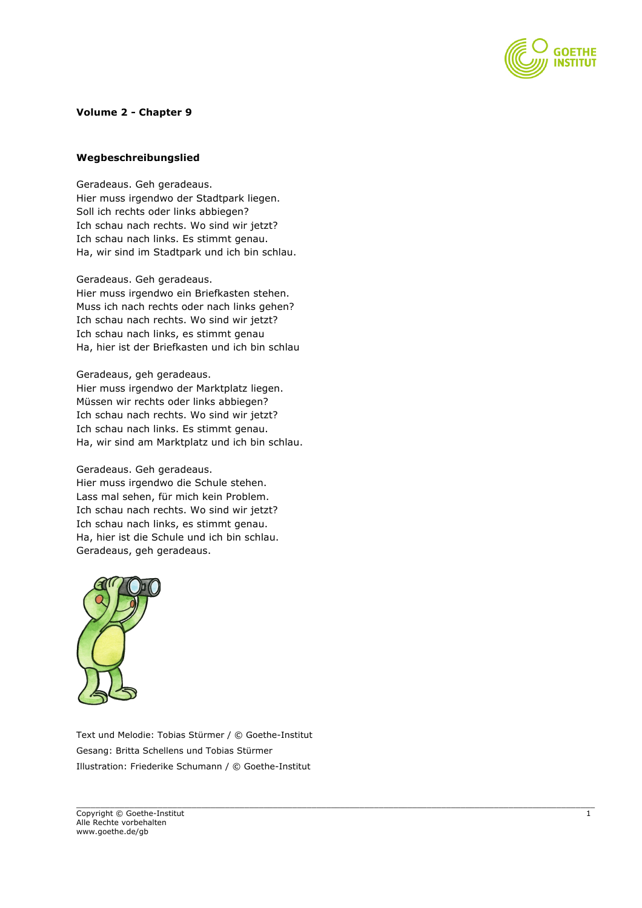

## **Volume 2 - Chapter 9**

## **Wegbeschreibungslied**

Geradeaus. Geh geradeaus. Hier muss irgendwo der Stadtpark liegen. Soll ich rechts oder links abbiegen? Ich schau nach rechts. Wo sind wir jetzt? Ich schau nach links. Es stimmt genau. Ha, wir sind im Stadtpark und ich bin schlau.

Geradeaus. Geh geradeaus. Hier muss irgendwo ein Briefkasten stehen. Muss ich nach rechts oder nach links gehen? Ich schau nach rechts. Wo sind wir jetzt? Ich schau nach links, es stimmt genau Ha, hier ist der Briefkasten und ich bin schlau

Geradeaus, geh geradeaus. Hier muss irgendwo der Marktplatz liegen. Müssen wir rechts oder links abbiegen? Ich schau nach rechts. Wo sind wir jetzt? Ich schau nach links. Es stimmt genau. Ha, wir sind am Marktplatz und ich bin schlau.

## Geradeaus. Geh geradeaus.

Hier muss irgendwo die Schule stehen. Lass mal sehen, für mich kein Problem. Ich schau nach rechts. Wo sind wir jetzt? Ich schau nach links, es stimmt genau. Ha, hier ist die Schule und ich bin schlau. Geradeaus, geh geradeaus.



Text und Melodie: Tobias Stürmer / © Goethe-Institut Gesang: Britta Schellens und Tobias Stürmer Illustration: Friederike Schumann / © Goethe-Institut

 $\_$  , and the state of the state of the state of the state of the state of the state of the state of the state of the state of the state of the state of the state of the state of the state of the state of the state of the Copyright © Goethe-Institut 1 Alle Rechte vorbehalten www.goethe.de/gb